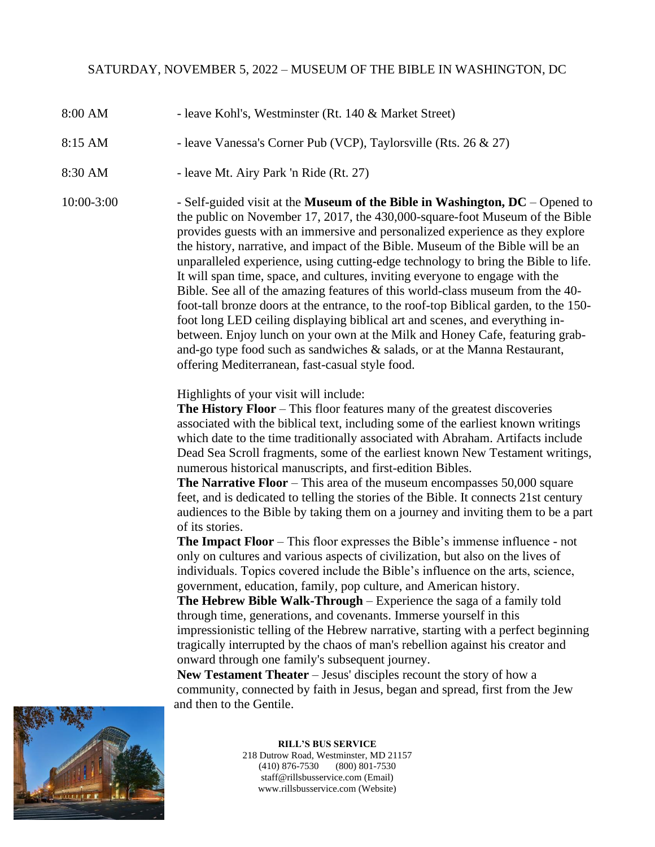- 8:00 AM leave Kohl's, Westminster (Rt. 140 & Market Street)
- 8:15 AM leave Vanessa's Corner Pub (VCP), Taylorsville (Rts. 26 & 27)
- 8:30 AM leave Mt. Airy Park 'n Ride (Rt. 27)

10:00-3:00 - Self-guided visit at the **Museum of the Bible in Washington, DC** – Opened to the public on November 17, 2017, the 430,000-square-foot Museum of the Bible provides guests with an immersive and personalized experience as they explore the history, narrative, and impact of the Bible. Museum of the Bible will be an unparalleled experience, using cutting-edge technology to bring the Bible to life. It will span time, space, and cultures, inviting everyone to engage with the Bible. See all of the amazing features of this world-class museum from the 40 foot-tall bronze doors at the entrance, to the roof-top Biblical garden, to the 150 foot long LED ceiling displaying biblical art and scenes, and everything inbetween. Enjoy lunch on your own at the Milk and Honey Cafe, featuring graband-go type food such as sandwiches & salads, or at the Manna Restaurant, offering Mediterranean, fast-casual style food.

Highlights of your visit will include:

**The History Floor** – This floor features many of the greatest discoveries associated with the biblical text, including some of the earliest known writings which date to the time traditionally associated with Abraham. Artifacts include Dead Sea Scroll fragments, some of the earliest known New Testament writings, numerous historical manuscripts, and first-edition Bibles.

**The Narrative Floor** – This area of the museum encompasses 50,000 square feet, and is dedicated to telling the stories of the Bible. It connects 21st century audiences to the Bible by taking them on a journey and inviting them to be a part of its stories.

**The Impact Floor** – This floor expresses the Bible's immense influence - not only on cultures and various aspects of civilization, but also on the lives of individuals. Topics covered include the Bible's influence on the arts, science, government, education, family, pop culture, and American history.

**The Hebrew Bible Walk-Through** – Experience the saga of a family told through time, generations, and covenants. Immerse yourself in this impressionistic telling of the Hebrew narrative, starting with a perfect beginning tragically interrupted by the chaos of man's rebellion against his creator and onward through one family's subsequent journey.

**New Testament Theater** – Jesus' disciples recount the story of how a community, connected by faith in Jesus, began and spread, first from the Jew and then to the Gentile.



**RILL'S BUS SERVICE** 218 Dutrow Road, Westminster, MD 21157 (410) 876-7530 (800) 801-7530 staff@rillsbusservice.com (Email) www.rillsbusservice.com (Website)